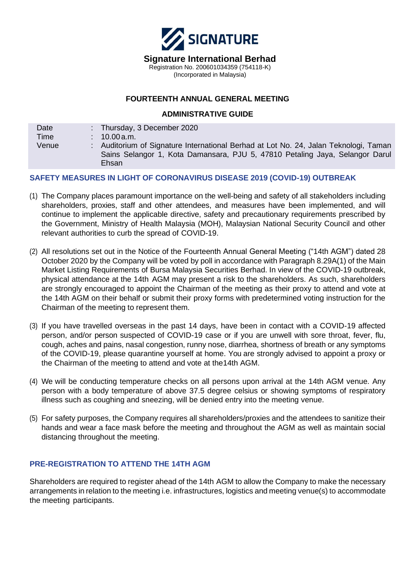

# **FOURTEENTH ANNUAL GENERAL MEETING**

#### **ADMINISTRATIVE GUIDE**

| Date        | : Thursday, 3 December 2020                                                                                                                                                   |  |
|-------------|-------------------------------------------------------------------------------------------------------------------------------------------------------------------------------|--|
| <b>Time</b> | $: 10.00$ a.m.                                                                                                                                                                |  |
| Venue       | : Auditorium of Signature International Berhad at Lot No. 24, Jalan Teknologi, Taman<br>Sains Selangor 1, Kota Damansara, PJU 5, 47810 Petaling Jaya, Selangor Darul<br>Ehsan |  |

# **SAFETY MEASURES IN LIGHT OF CORONAVIRUS DISEASE 2019 (COVID-19) OUTBREAK**

- $\overline{a}$ (1) The Company places paramount importance on the well-being and safety of all stakeholders including shareholders, proxies, staff and other attendees, and measures have been implemented, and will continue to implement the applicable directive, safety and precautionary requirements prescribed by the Government, Ministry of Health Malaysia (MOH), Malaysian National Security Council and other relevant authorities to curb the spread of COVID-19.
- (2) All resolutions set out in the Notice of the Fourteenth Annual General Meeting ("14th AGM") dated 28 October 2020 by the Company will be voted by poll in accordance with Paragraph 8.29A(1) of the Main Market Listing Requirements of Bursa Malaysia Securities Berhad. In view of the COVID-19 outbreak, physical attendance at the 14th AGM may present a risk to the shareholders. As such, shareholders are strongly encouraged to appoint the Chairman of the meeting as their proxy to attend and vote at the 14th AGM on their behalf or submit their proxy forms with predetermined voting instruction for the Chairman of the meeting to represent them.
- (3) If you have travelled overseas in the past 14 days, have been in contact with a COVID-19 affected person, and/or person suspected of COVID-19 case or if you are unwell with sore throat, fever, flu, cough, aches and pains, nasal congestion, runny nose, diarrhea, shortness of breath or any symptoms of the COVID-19, please quarantine yourself at home. You are strongly advised to appoint a proxy or the Chairman of the meeting to attend and vote at the14th AGM.
- (4) We will be conducting temperature checks on all persons upon arrival at the 14th AGM venue. Any person with a body temperature of above 37.5 degree celsius or showing symptoms of respiratory illness such as coughing and sneezing, will be denied entry into the meeting venue.
- (5) For safety purposes, the Company requires all shareholders/proxies and the attendees to sanitize their hands and wear a face mask before the meeting and throughout the AGM as well as maintain social distancing throughout the meeting.

### **PRE-REGISTRATION TO ATTEND THE 14TH AGM**

Shareholders are required to register ahead of the 14th AGM to allow the Company to make the necessary arrangements in relation to the meeting i.e. infrastructures, logistics and meeting venue(s) to accommodate the meeting participants.